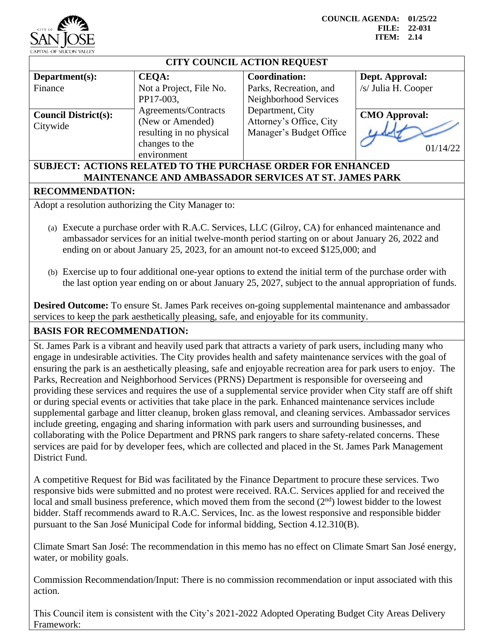

**COUNCIL AGENDA: 01/25/22 FILE: 22-031 ITEM: 2.14**

## **CITY COUNCIL ACTION REQUEST Department(s):** Finance **CEQA:** Not a Project, File No. PP17-003, Agreements/Contracts (New or Amended) resulting in no physical changes to the environment **Coordination:** Parks, Recreation, and Neighborhood Services Department, City Attorney's Office, City Manager's Budget Office **Dept. Approval:** /s/ Julia H. Cooper **Council District(s):**  Citywide **CMO Approval:** 01/14/22 **SUBJECT: ACTIONS RELATED TO THE PURCHASE ORDER FOR ENHANCED**

## **MAINTENANCE AND AMBASSADOR SERVICES AT ST. JAMES PARK**

## **RECOMMENDATION:**

Adopt a resolution authorizing the City Manager to:

- (a) Execute a purchase order with R.A.C. Services, LLC (Gilroy, CA) for enhanced maintenance and ambassador services for an initial twelve-month period starting on or about January 26, 2022 and ending on or about January 25, 2023, for an amount not-to exceed \$125,000; and
- (b) Exercise up to four additional one-year options to extend the initial term of the purchase order with the last option year ending on or about January 25, 2027, subject to the annual appropriation of funds.

**Desired Outcome:** To ensure St. James Park receives on-going supplemental maintenance and ambassador services to keep the park aesthetically pleasing, safe, and enjoyable for its community.

## **BASIS FOR RECOMMENDATION:**

St. James Park is a vibrant and heavily used park that attracts a variety of park users, including many who engage in undesirable activities. The City provides health and safety maintenance services with the goal of ensuring the park is an aesthetically pleasing, safe and enjoyable recreation area for park users to enjoy. The Parks, Recreation and Neighborhood Services (PRNS) Department is responsible for overseeing and providing these services and requires the use of a supplemental service provider when City staff are off shift or during special events or activities that take place in the park. Enhanced maintenance services include supplemental garbage and litter cleanup, broken glass removal, and cleaning services. Ambassador services include greeting, engaging and sharing information with park users and surrounding businesses, and collaborating with the Police Department and PRNS park rangers to share safety-related concerns. These services are paid for by developer fees, which are collected and placed in the St. James Park Management District Fund.

A competitive Request for Bid was facilitated by the Finance Department to procure these services. Two responsive bids were submitted and no protest were received. RA.C. Services applied for and received the local and small business preference, which moved them from the second  $(2<sup>nd</sup>)$  lowest bidder to the lowest bidder. Staff recommends award to R.A.C. Services, Inc. as the lowest responsive and responsible bidder pursuant to the San José Municipal Code for informal bidding, Section 4.12.310(B).

Climate Smart San José: The recommendation in this memo has no effect on Climate Smart San José energy, water, or mobility goals.

Commission Recommendation/Input: There is no commission recommendation or input associated with this action.

This Council item is consistent with the City's 2021-2022 Adopted Operating Budget City Areas Delivery Framework: